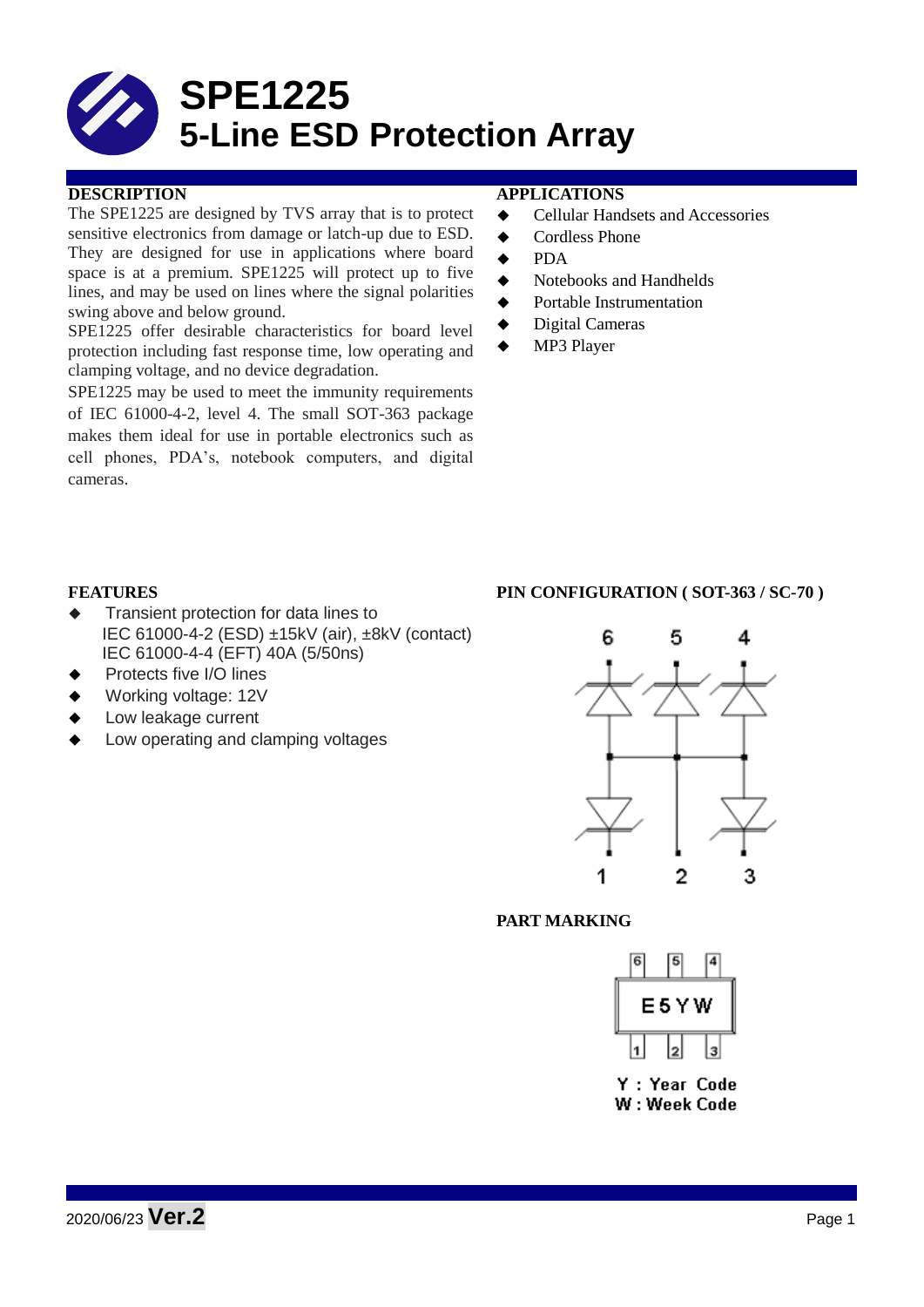

# **DESCRIPTION APPLICATIONS**

The SPE1225 are designed by TVS array that is to protect sensitive electronics from damage or latch-up due to ESD. They are designed for use in applications where board space is at a premium. SPE1225 will protect up to five lines, and may be used on lines where the signal polarities swing above and below ground.

SPE1225 offer desirable characteristics for board level protection including fast response time, low operating and clamping voltage, and no device degradation.

SPE1225 may be used to meet the immunity requirements of IEC 61000-4-2, level 4. The small SOT-363 package makes them ideal for use in portable electronics such as cell phones, PDA's, notebook computers, and digital cameras.

- Cellular Handsets and Accessories
- ◆ Cordless Phone
- $\bullet$  PDA
- Notebooks and Handhelds
- Portable Instrumentation
- ◆ Digital Cameras
- MP3 Player

- $\triangleleft$  Transient protection for data lines to IEC 61000-4-2 (ESD) ±15kV (air), ±8kV (contact) IEC 61000-4-4 (EFT) 40A (5/50ns)
- Protects five I/O lines
- Working voltage: 12V
- Low leakage current
- Low operating and clamping voltages

## **FEATURES PIN CONFIGURATION ( SOT-363 / SC-70 )**



### **PART MARKING**

| 6 |      |  |
|---|------|--|
|   | E5YW |  |
|   |      |  |

Y : Year Code W: Week Code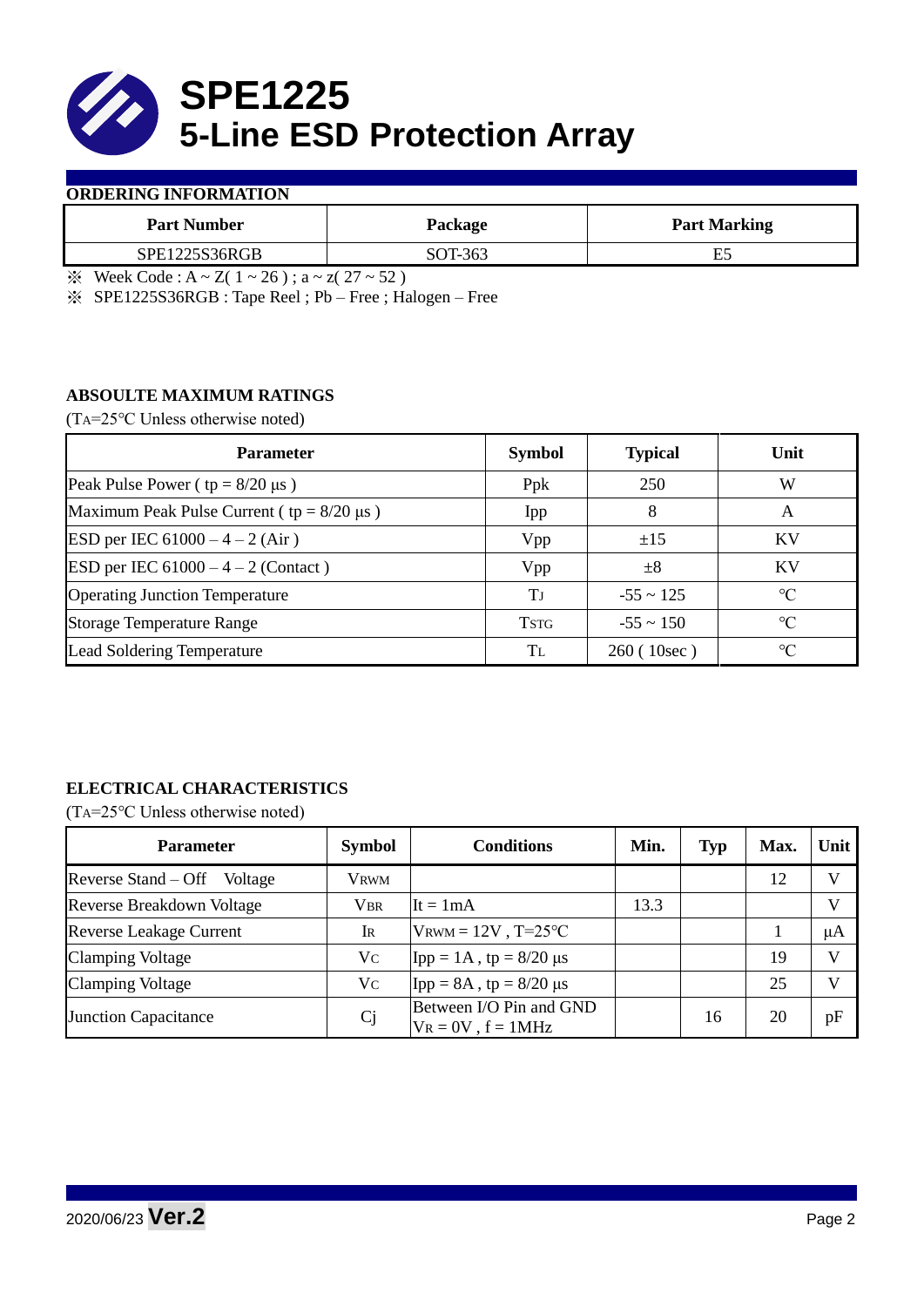

## **ORDERING INFORMATION**

| <b>Part Number</b> | Package | <b>Part Marking</b> |
|--------------------|---------|---------------------|
| SPE1225S36RGB      | SOT-363 | ⊷                   |

 $\frac{1}{2}$  Week Code : A ~ Z( 1 ~ 26); a ~ z( 27 ~ 52)

※ SPE1225S36RGB : Tape Reel ; Pb – Free ; Halogen – Free

# **ABSOULTE MAXIMUM RATINGS**

(TA=25℃ Unless otherwise noted)

| <b>Parameter</b>                                 | <b>Symbol</b> | <b>Typical</b> | Unit            |  |
|--------------------------------------------------|---------------|----------------|-----------------|--|
| Peak Pulse Power ( $tp = 8/20 \mu s$ )           | Ppk           | 250            | W               |  |
| Maximum Peak Pulse Current ( $tp = 8/20 \mu s$ ) | Ipp           | 8              | A               |  |
| ESD per IEC $61000 - 4 - 2$ (Air)                | Vpp           | ±15            | <b>KV</b>       |  |
| <b>ESD</b> per IEC $61000 - 4 - 2$ (Contact)     | Vpp           | $\pm 8$        | KV              |  |
| <b>Operating Junction Temperature</b>            | Tі            | $-55 \sim 125$ | $\rm ^{\circ}C$ |  |
| <b>Storage Temperature Range</b>                 | <b>TSTG</b>   | $-55 \sim 150$ | $\rm ^{\circ}C$ |  |
| Lead Soldering Temperature                       | Tī.           | 260(10sec)     | $\rm ^{\circ}C$ |  |

# **ELECTRICAL CHARACTERISTICS**

(TA=25℃ Unless otherwise noted)

| <b>Parameter</b>               | <b>Symbol</b> | <b>Conditions</b>                                  | Min. | <b>Typ</b> | Max. | Unit |
|--------------------------------|---------------|----------------------------------------------------|------|------------|------|------|
| Reverse Stand – Off<br>Voltage | Vrwm          |                                                    |      |            | 12   |      |
| Reverse Breakdown Voltage      | <b>VBR</b>    | $It = 1mA$                                         | 13.3 |            |      |      |
| <b>Reverse Leakage Current</b> | IR            | $V_{\text{RWM}} = 12V$ , T=25°C                    |      |            |      | μA   |
| <b>Clamping Voltage</b>        | Vc            | [Ipp = 1A, tp = $8/20$ μs                          |      |            | 19   |      |
| <b>Clamping Voltage</b>        | Vc            | $\text{Ipp} = 8A$ , tp = 8/20 µs                   |      |            | 25   |      |
| Junction Capacitance           | Cj            | Between I/O Pin and GND<br>$V_R = 0V$ , $f = 1MHz$ |      | 16         | 20   | pF   |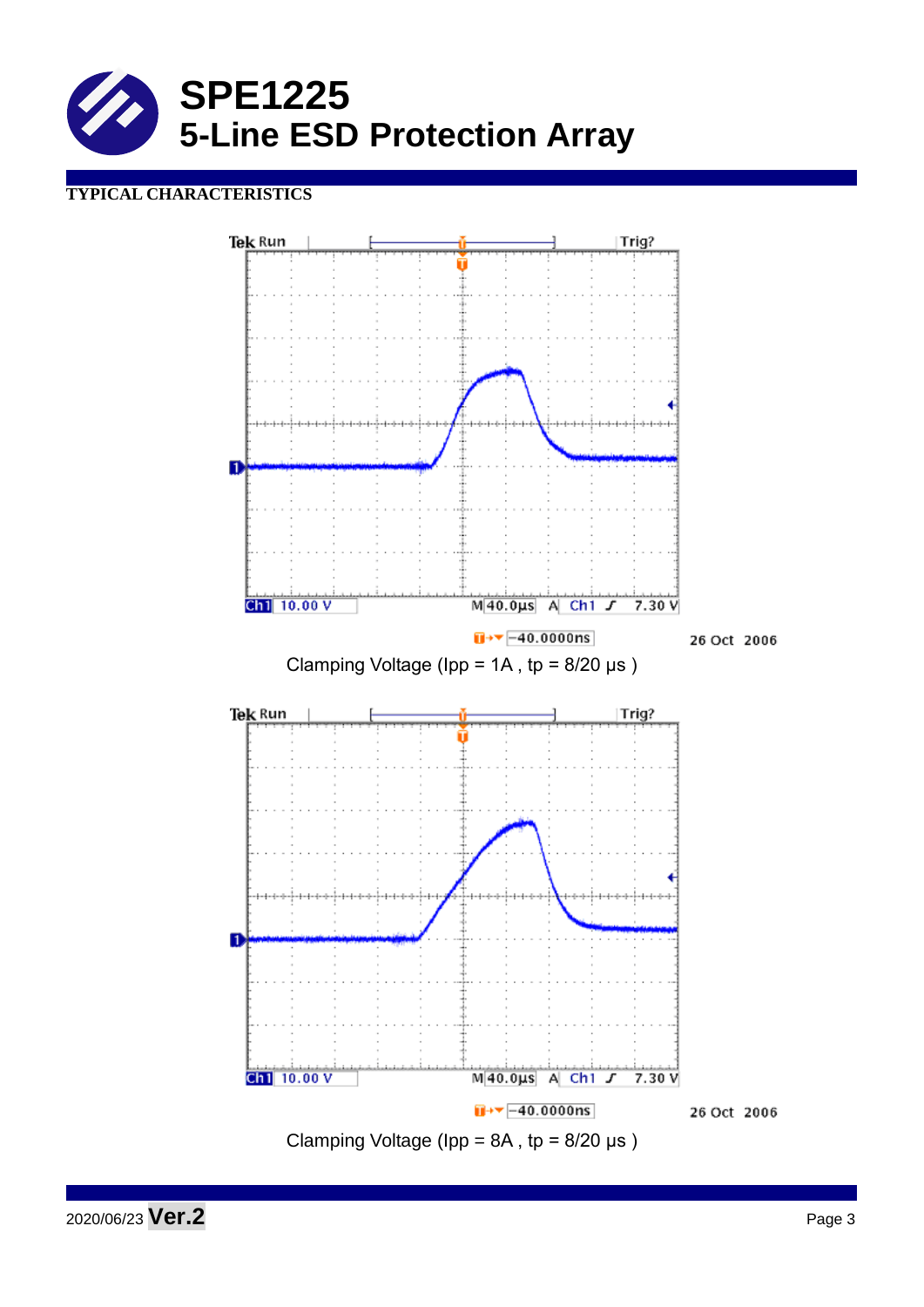

# **TYPICAL CHARACTERISTICS**



2020/06/23 **Ver.2** Page 3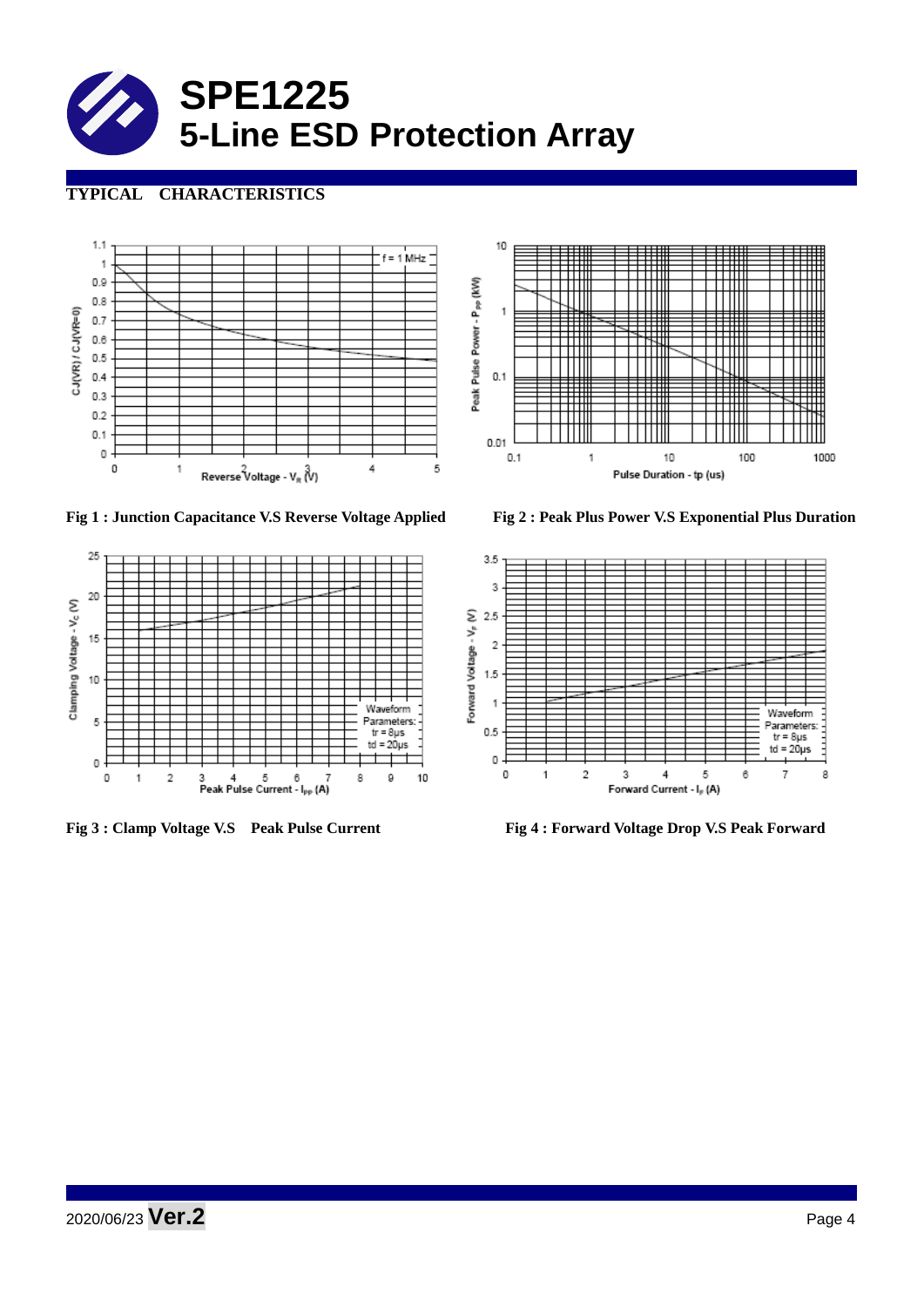

# **TYPICAL CHARACTERISTICS**







**Fig 1 : Junction Capacitance V.S Reverse Voltage Applied Fig 2 : Peak Plus Power V.S Exponential Plus Duration**



**Fig 3 : Clamp Voltage V.S Peak Pulse Current Fig 4 : Forward Voltage Drop V.S Peak Forward**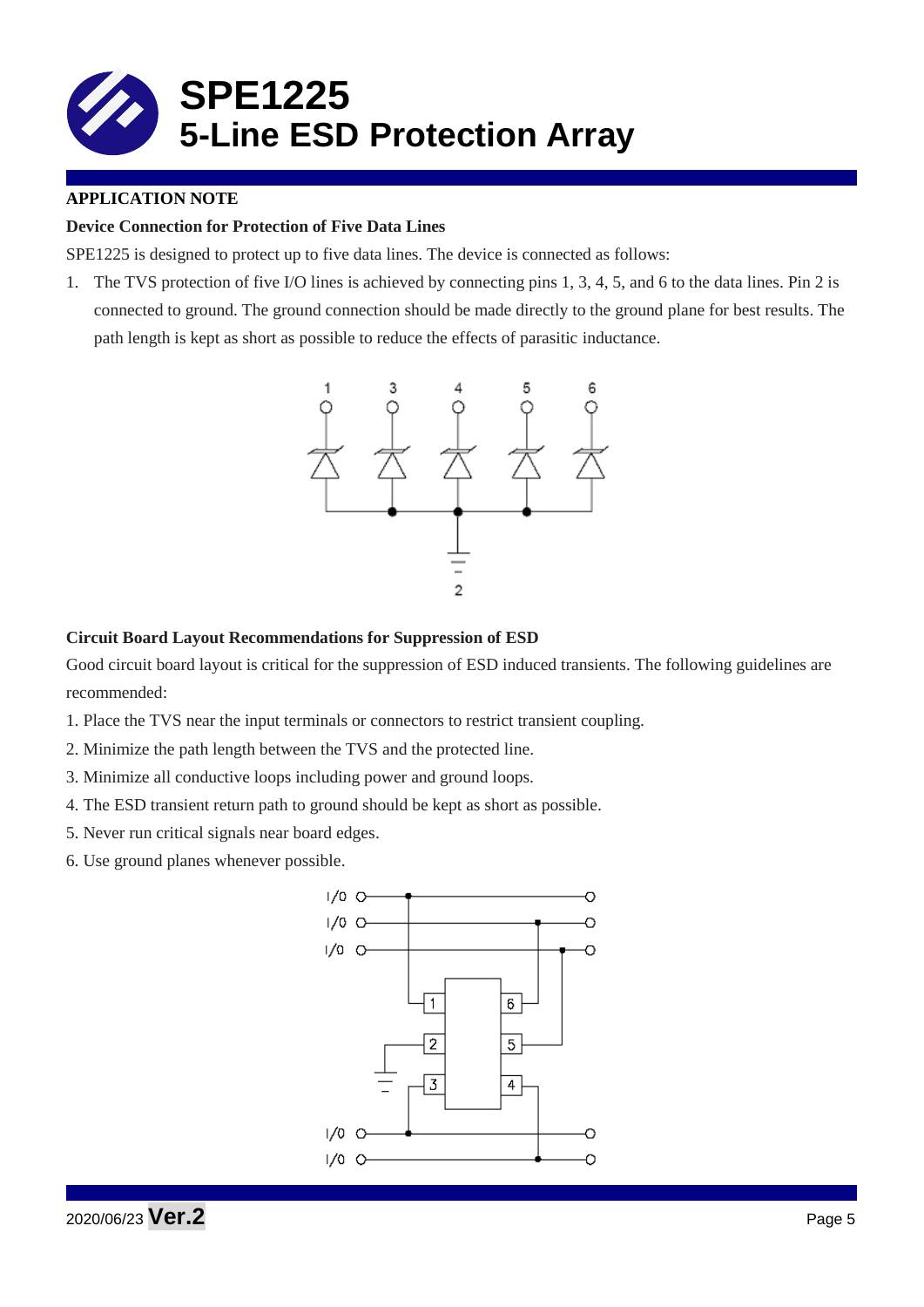

# **APPLICATION NOTE**

# **Device Connection for Protection of Five Data Lines**

SPE1225 is designed to protect up to five data lines. The device is connected as follows:

1. The TVS protection of five I/O lines is achieved by connecting pins 1, 3, 4, 5, and 6 to the data lines. Pin 2 is connected to ground. The ground connection should be made directly to the ground plane for best results. The path length is kept as short as possible to reduce the effects of parasitic inductance.



### **Circuit Board Layout Recommendations for Suppression of ESD**

Good circuit board layout is critical for the suppression of ESD induced transients. The following guidelines are recommended:

- 1. Place the TVS near the input terminals or connectors to restrict transient coupling.
- 2. Minimize the path length between the TVS and the protected line.
- 3. Minimize all conductive loops including power and ground loops.
- 4. The ESD transient return path to ground should be kept as short as possible.
- 5. Never run critical signals near board edges.
- 6. Use ground planes whenever possible.